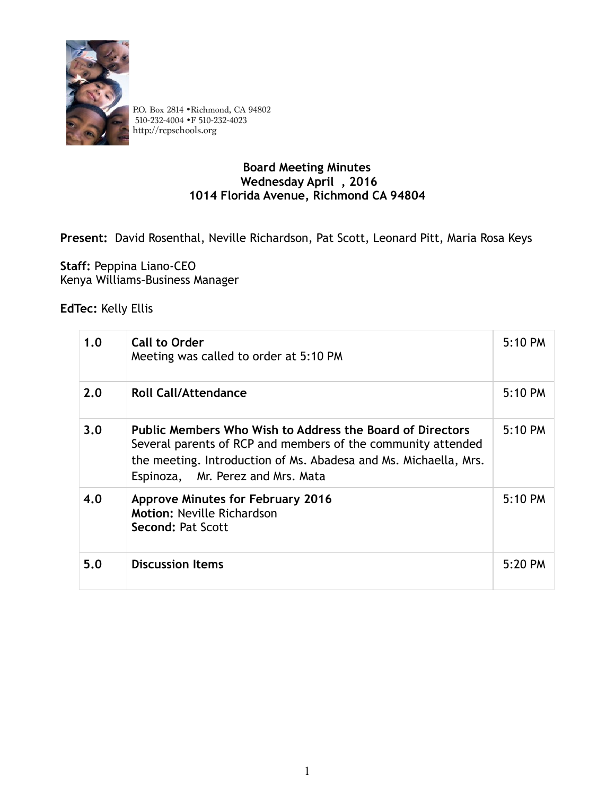

P.O. Box 2814 •Richmond, CA 94802 510-232-4004 •F 510-232-4023 http://rcpschools.org

## **Board Meeting Minutes Wednesday April , 2016 1014 Florida Avenue, Richmond CA 94804**

**Present:** David Rosenthal, Neville Richardson, Pat Scott, Leonard Pitt, Maria Rosa Keys

**Staff:** Peppina Liano-CEO Kenya Williams–Business Manager

**EdTec:** Kelly Ellis

| 1.0 | <b>Call to Order</b><br>Meeting was called to order at 5:10 PM                                                                                                                                                                     | $5:10 \text{ PM}$ |
|-----|------------------------------------------------------------------------------------------------------------------------------------------------------------------------------------------------------------------------------------|-------------------|
| 2.0 | <b>Roll Call/Attendance</b>                                                                                                                                                                                                        | 5:10 PM           |
| 3.0 | Public Members Who Wish to Address the Board of Directors<br>Several parents of RCP and members of the community attended<br>the meeting. Introduction of Ms. Abadesa and Ms. Michaella, Mrs.<br>Espinoza, Mr. Perez and Mrs. Mata | $5:10$ PM         |
| 4.0 | <b>Approve Minutes for February 2016</b><br><b>Motion: Neville Richardson</b><br><b>Second: Pat Scott</b>                                                                                                                          | 5:10 PM           |
| 5.0 | <b>Discussion Items</b>                                                                                                                                                                                                            | 5:20 PM           |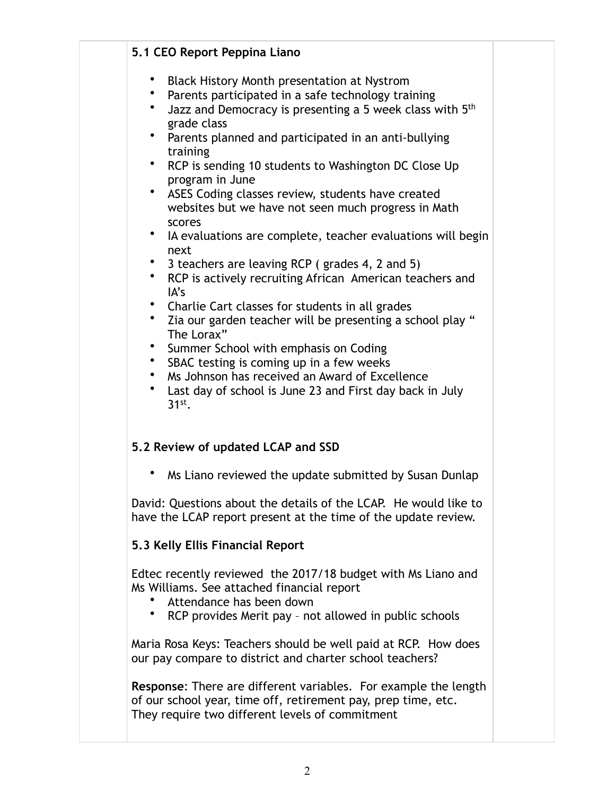|           | 5.1 CEO Report Peppina Liano                                                                                                                                                                       |
|-----------|----------------------------------------------------------------------------------------------------------------------------------------------------------------------------------------------------|
|           | Black History Month presentation at Nystrom<br>Parents participated in a safe technology training<br>Jazz and Democracy is presenting a 5 week class with 5th<br>grade class                       |
| $\bullet$ | Parents planned and participated in an anti-bullying<br>training                                                                                                                                   |
|           | RCP is sending 10 students to Washington DC Close Up<br>program in June                                                                                                                            |
|           | • ASES Coding classes review, students have created<br>websites but we have not seen much progress in Math<br>scores                                                                               |
|           | • IA evaluations are complete, teacher evaluations will begin<br>next                                                                                                                              |
|           | 3 teachers are leaving RCP (grades 4, 2 and 5)<br>• RCP is actively recruiting African American teachers and<br>IA's                                                                               |
| $\bullet$ | • Charlie Cart classes for students in all grades<br>Zia our garden teacher will be presenting a school play "<br>The Lorax"                                                                       |
|           | Summer School with emphasis on Coding<br>• SBAC testing is coming up in a few weeks                                                                                                                |
| $\bullet$ | Ms Johnson has received an Award of Excellence<br>Last day of school is June 23 and First day back in July<br>$31st$ .                                                                             |
|           | 5.2 Review of updated LCAP and SSD                                                                                                                                                                 |
|           | Ms Liano reviewed the update submitted by Susan Dunlap                                                                                                                                             |
|           | David: Questions about the details of the LCAP. He would like to<br>have the LCAP report present at the time of the update review.                                                                 |
|           | 5.3 Kelly Ellis Financial Report                                                                                                                                                                   |
|           | Edtec recently reviewed the 2017/18 budget with Ms Liano and<br>Ms Williams. See attached financial report<br>Attendance has been down<br>• RCP provides Merit pay - not allowed in public schools |
|           | Maria Rosa Keys: Teachers should be well paid at RCP. How does<br>our pay compare to district and charter school teachers?                                                                         |
|           | <b>Response:</b> There are different variables. For example the length<br>of our school year, time off, retirement pay, prep time, etc.<br>They require two different levels of commitment         |